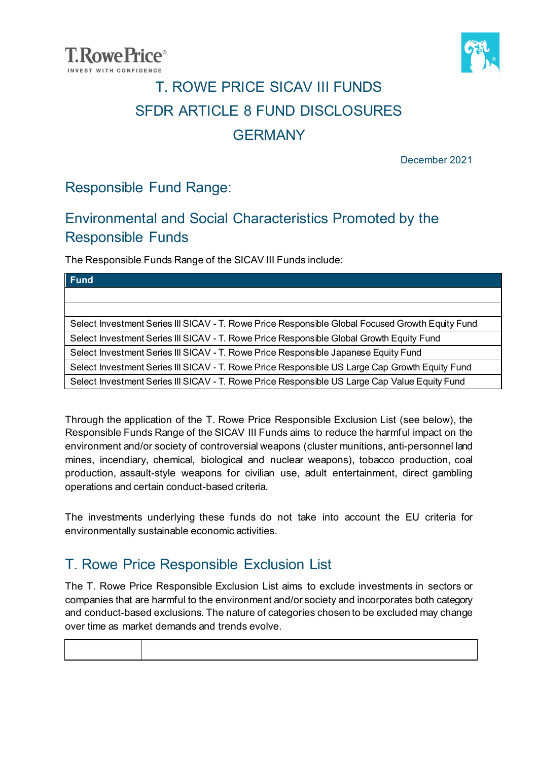



### T. ROWE PRICE SICAV III FUNDS SFDR ARTICLE 8 FUND DISCLOSURES **GERMANY**

December 2021

#### Responsible Fund Range:

### Environmental and Social Characteristics Promoted by the Responsible Funds

The Responsible Funds Range of the SICAV III Funds include:

Through the application of the T. Rowe Price Responsible Exclusion List (see below), the Responsible Funds Range of the SICAV III Funds aims to reduce the harmful impact on the environment and/or society of controversial weapons (cluster munitions, anti-personnel land mines, incendiary, chemical, biological and nuclear weapons), tobacco production, coal production, assault-style weapons for civilian use, adult entertainment, direct gambling operations and certain conduct-based criteria.

The investments underlying these funds do not take into account the EU criteria for environmentally sustainable economic activities.

### T. Rowe Price Responsible Exclusion List

The T. Rowe Price Responsible Exclusion List aims to exclude investments in sectors or companies that are harmful to the environment and/or society and incorporates both category and conduct-based exclusions. The nature of categories chosen to be excluded may change over time as market demands and trends evolve.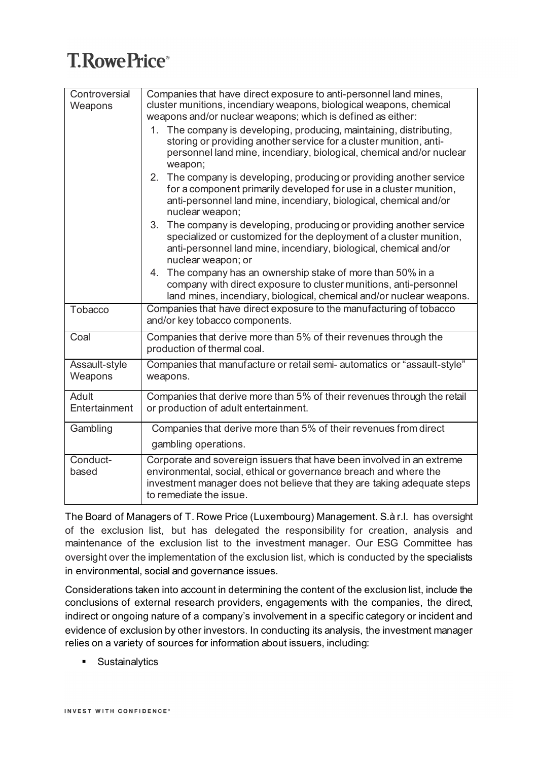| Controversial | Companies that have direct exposure to anti-personnel land mines,        |  |  |  |  |  |
|---------------|--------------------------------------------------------------------------|--|--|--|--|--|
| Weapons       | cluster munitions, incendiary weapons, biological weapons, chemical      |  |  |  |  |  |
|               | weapons and/or nuclear weapons; which is defined as either:              |  |  |  |  |  |
|               | 1. The company is developing, producing, maintaining, distributing,      |  |  |  |  |  |
|               | storing or providing another service for a cluster munition, anti-       |  |  |  |  |  |
|               | personnel land mine, incendiary, biological, chemical and/or nuclear     |  |  |  |  |  |
|               | weapon;                                                                  |  |  |  |  |  |
|               | The company is developing, producing or providing another service<br>2.  |  |  |  |  |  |
|               | for a component primarily developed for use in a cluster munition,       |  |  |  |  |  |
|               | anti-personnel land mine, incendiary, biological, chemical and/or        |  |  |  |  |  |
|               | nuclear weapon;                                                          |  |  |  |  |  |
|               | The company is developing, producing or providing another service<br>3.  |  |  |  |  |  |
|               | specialized or customized for the deployment of a cluster munition,      |  |  |  |  |  |
|               | anti-personnel land mine, incendiary, biological, chemical and/or        |  |  |  |  |  |
|               | nuclear weapon; or                                                       |  |  |  |  |  |
|               | The company has an ownership stake of more than 50% in a<br>4.           |  |  |  |  |  |
|               | company with direct exposure to cluster munitions, anti-personnel        |  |  |  |  |  |
|               | land mines, incendiary, biological, chemical and/or nuclear weapons.     |  |  |  |  |  |
| Tobacco       | Companies that have direct exposure to the manufacturing of tobacco      |  |  |  |  |  |
|               | and/or key tobacco components.                                           |  |  |  |  |  |
| Coal          | Companies that derive more than 5% of their revenues through the         |  |  |  |  |  |
|               | production of thermal coal.                                              |  |  |  |  |  |
| Assault-style | Companies that manufacture or retail semi- automatics or "assault-style" |  |  |  |  |  |
| Weapons       | weapons.                                                                 |  |  |  |  |  |
| Adult         | Companies that derive more than 5% of their revenues through the retail  |  |  |  |  |  |
| Entertainment | or production of adult entertainment.                                    |  |  |  |  |  |
|               |                                                                          |  |  |  |  |  |
| Gambling      | Companies that derive more than 5% of their revenues from direct         |  |  |  |  |  |
|               | gambling operations.                                                     |  |  |  |  |  |
| Conduct-      | Corporate and sovereign issuers that have been involved in an extreme    |  |  |  |  |  |
| based         | environmental, social, ethical or governance breach and where the        |  |  |  |  |  |
|               | investment manager does not believe that they are taking adequate steps  |  |  |  |  |  |
|               | to remediate the issue.                                                  |  |  |  |  |  |

The Board of Managers of T. Rowe Price (Luxembourg) Management. S.à r.l. has oversight of the exclusion list, but has delegated the responsibility for creation, analysis and maintenance of the exclusion list to the investment manager. Our ESG Committee has oversight over the implementation of the exclusion list, which is conducted by the specialists in environmental, social and governance issues.

Considerations taken into account in determining the content of the exclusion list, include the conclusions of external research providers, engagements with the companies, the direct, indirect or ongoing nature of a company's involvement in a specific category or incident and evidence of exclusion by other investors. In conducting its analysis, the investment manager relies on a variety of sources for information about issuers, including:

**Sustainalytics**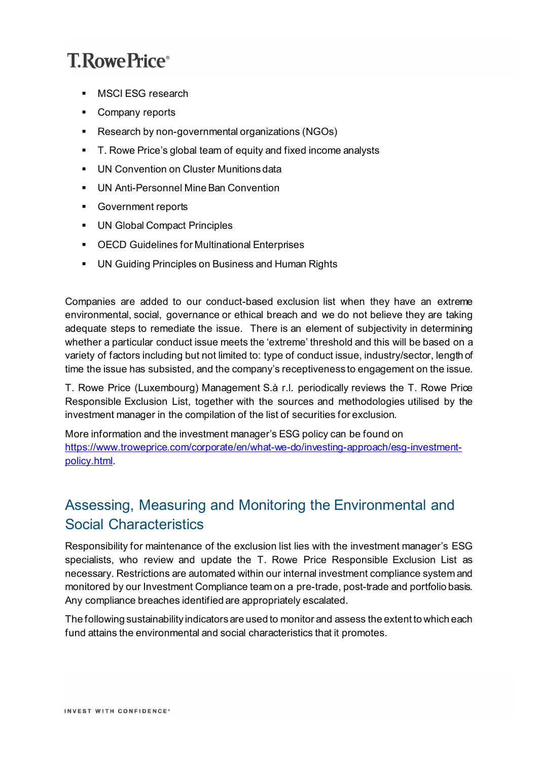- **MSCI ESG research**
- **Company reports**
- **Research by non-governmental organizations (NGOs)**
- T. Rowe Price's global team of equity and fixed income analysts
- **UN Convention on Cluster Munitions data**
- **UN Anti-Personnel Mine Ban Convention**
- **Government reports**
- **UN Global Compact Principles**
- OECD Guidelines for Multinational Enterprises
- **UN Guiding Principles on Business and Human Rights**

Companies are added to our conduct-based exclusion list when they have an extreme environmental, social, governance or ethical breach and we do not believe they are taking adequate steps to remediate the issue. There is an element of subjectivity in determining whether a particular conduct issue meets the 'extreme' threshold and this will be based on a variety of factors including but not limited to: type of conduct issue, industry/sector, length of time the issue has subsisted, and the company's receptiveness to engagement on the issue.

T. Rowe Price (Luxembourg) Management S.à r.l. periodically reviews the T. Rowe Price Responsible Exclusion List, together with the sources and methodologies utilised by the investment manager in the compilation of the list of securities for exclusion.

More information and the investment manager's ESG policy can be found on [https://www.troweprice.com/corporate/en/what-we-do/investing-approach/esg-investment](https://www.troweprice.com/corporate/en/what-we-do/investing-approach/esg-investment-policy.html)[policy.html.](https://www.troweprice.com/corporate/en/what-we-do/investing-approach/esg-investment-policy.html)

### Assessing, Measuring and Monitoring the Environmental and Social Characteristics

Responsibility for maintenance of the exclusion list lies with the investment manager's ESG specialists, who review and update the T. Rowe Price Responsible Exclusion List as necessary. Restrictions are automated within our internal investment compliance system and monitored by our Investment Compliance team on a pre-trade, post-trade and portfolio basis. Any compliance breaches identified are appropriately escalated.

The following sustainability indicators are used to monitor and assess the extent to which each fund attains the environmental and social characteristics that it promotes.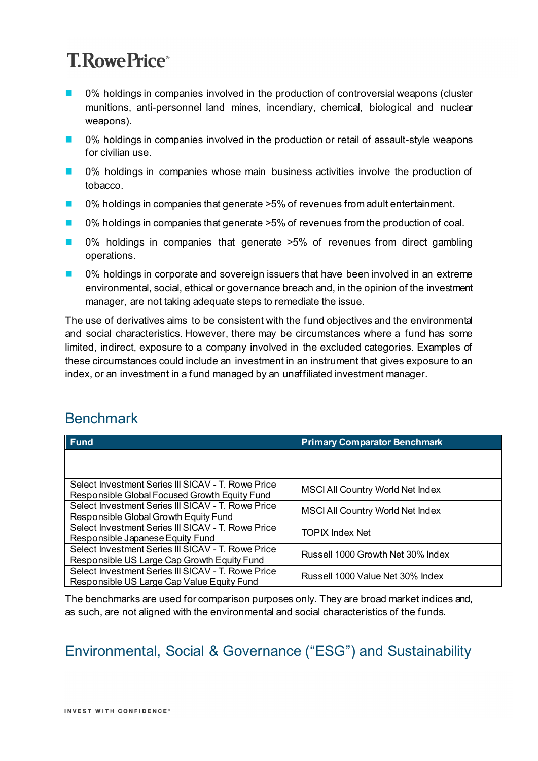- 0% holdings in companies involved in the production of controversial weapons (cluster munitions, anti-personnel land mines, incendiary, chemical, biological and nuclear weapons).
- 0% holdings in companies involved in the production or retail of assault-style weapons for civilian use.
- 0% holdings in companies whose main business activities involve the production of tobacco.
- 0% holdings in companies that generate >5% of revenues from adult entertainment.
- 0% holdings in companies that generate >5% of revenues from the production of coal.
- 0% holdings in companies that generate >5% of revenues from direct gambling operations.
- 0% holdings in corporate and sovereign issuers that have been involved in an extreme environmental, social, ethical or governance breach and, in the opinion of the investment manager, are not taking adequate steps to remediate the issue.

The use of derivatives aims to be consistent with the fund objectives and the environmental and social characteristics. However, there may be circumstances where a fund has some limited, indirect, exposure to a company involved in the excluded categories. Examples of these circumstances could include an investment in an instrument that gives exposure to an index, or an investment in a fund managed by an unaffiliated investment manager.

### **Benchmark**

| <b>Fund</b><br>I                                                                                    | <b>Primary Comparator Benchmark</b>     |
|-----------------------------------------------------------------------------------------------------|-----------------------------------------|
|                                                                                                     |                                         |
|                                                                                                     |                                         |
| Select Investment Series III SICAV - T. Rowe Price<br>Responsible Global Focused Growth Equity Fund | <b>MSCI All Country World Net Index</b> |
| Select Investment Series III SICAV - T. Rowe Price<br>Responsible Global Growth Equity Fund         | <b>MSCI All Country World Net Index</b> |
| Select Investment Series III SICAV - T. Rowe Price<br>Responsible Japanese Equity Fund              | <b>TOPIX Index Net</b>                  |
| Select Investment Series III SICAV - T. Rowe Price<br>Responsible US Large Cap Growth Equity Fund   | Russell 1000 Growth Net 30% Index       |
| Select Investment Series III SICAV - T. Rowe Price<br>Responsible US Large Cap Value Equity Fund    | Russell 1000 Value Net 30% Index        |

The benchmarks are used for comparison purposes only. They are broad market indices and, as such, are not aligned with the environmental and social characteristics of the funds.

### Environmental, Social & Governance ("ESG") and Sustainability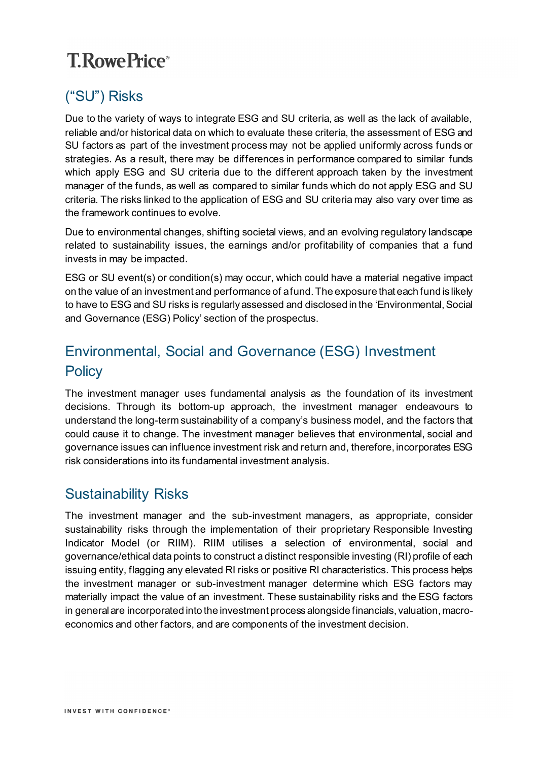### ("SU") Risks

Due to the variety of ways to integrate ESG and SU criteria, as well as the lack of available, reliable and/or historical data on which to evaluate these criteria, the assessment of ESG and SU factors as part of the investment process may not be applied uniformly across funds or strategies. As a result, there may be differences in performance compared to similar funds which apply ESG and SU criteria due to the different approach taken by the investment manager of the funds, as well as compared to similar funds which do not apply ESG and SU criteria. The risks linked to the application of ESG and SU criteria may also vary over time as the framework continues to evolve.

Due to environmental changes, shifting societal views, and an evolving regulatory landscape related to sustainability issues, the earnings and/or profitability of companies that a fund invests in may be impacted.

ESG or SU event(s) or condition(s) may occur, which could have a material negative impact on the value of an investment and performance of afund. The exposure that each fund is likely to have to ESG and SU risks is regularly assessed and disclosed in the 'Environmental, Social and Governance (ESG) Policy' section of the prospectus.

### Environmental, Social and Governance (ESG) Investment **Policy**

The investment manager uses fundamental analysis as the foundation of its investment decisions. Through its bottom-up approach, the investment manager endeavours to understand the long-term sustainability of a company's business model, and the factors that could cause it to change. The investment manager believes that environmental, social and governance issues can influence investment risk and return and, therefore, incorporates ESG risk considerations into its fundamental investment analysis.

### Sustainability Risks

The investment manager and the sub-investment managers, as appropriate, consider sustainability risks through the implementation of their proprietary Responsible Investing Indicator Model (or RIIM). RIIM utilises a selection of environmental, social and governance/ethical data points to construct a distinct responsible investing (RI) profile of each issuing entity, flagging any elevated RI risks or positive RI characteristics. This process helps the investment manager or sub-investment manager determine which ESG factors may materially impact the value of an investment. These sustainability risks and the ESG factors in general are incorporated into the investment process alongside financials, valuation, macroeconomics and other factors, and are components of the investment decision.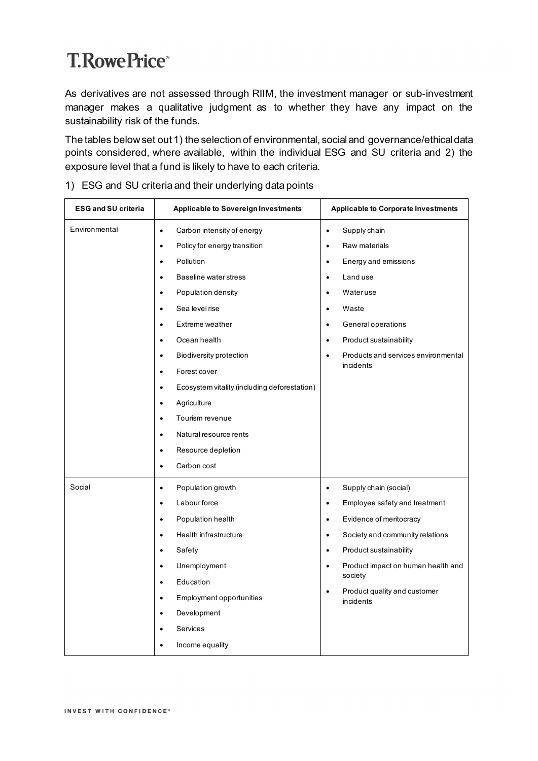As derivatives are not assessed through RIIM, the investment manager or sub-investment manager makes a qualitative judgment as to whether they have any impact on the sustainability risk of the funds.

The tables below set out 1) the selection of environmental, social and governance/ethical data points considered, where available, within the individual ESG and SU criteria and 2) the exposure level that a fund is likely to have to each criteria.

| <b>ESG and SU criteria</b> | <b>Applicable to Sovereign Investments</b>                              | <b>Applicable to Corporate Investments</b>             |  |  |
|----------------------------|-------------------------------------------------------------------------|--------------------------------------------------------|--|--|
| Environmental              | Carbon intensity of energy<br>$\bullet$<br>Policy for energy transition | Supply chain<br>$\bullet$<br>Raw materials             |  |  |
|                            | $\bullet$                                                               | $\bullet$                                              |  |  |
|                            | Pollution<br>$\bullet$                                                  | Energy and emissions<br>$\bullet$                      |  |  |
|                            | Baseline water stress<br>$\bullet$                                      | Land use<br>$\bullet$                                  |  |  |
|                            | Population density<br>$\bullet$                                         | Wateruse<br>$\bullet$                                  |  |  |
|                            | Sea level rise<br>$\bullet$                                             | Waste<br>$\bullet$                                     |  |  |
|                            | Extreme weather<br>$\bullet$                                            | General operations<br>$\bullet$                        |  |  |
|                            | Ocean health<br>$\bullet$                                               | Product sustainability<br>$\bullet$                    |  |  |
|                            | <b>Biodiversity protection</b><br>$\bullet$                             | Products and services environmental<br>$\bullet$       |  |  |
|                            | Forest cover<br>$\bullet$                                               | incidents                                              |  |  |
|                            | Ecosystem vitality (including deforestation)<br>$\bullet$               |                                                        |  |  |
|                            | Agriculture<br>$\bullet$                                                |                                                        |  |  |
|                            | Tourism revenue<br>$\bullet$                                            |                                                        |  |  |
|                            | Natural resource rents<br>$\bullet$                                     |                                                        |  |  |
|                            | Resource depletion<br>$\bullet$                                         |                                                        |  |  |
|                            | Carbon cost<br>$\bullet$                                                |                                                        |  |  |
| Social                     | Population growth<br>$\bullet$                                          | Supply chain (social)<br>$\bullet$                     |  |  |
|                            | Labour force<br>$\bullet$                                               | Employee safety and treatment<br>$\bullet$             |  |  |
|                            | Population health<br>$\bullet$                                          | Evidence of meritocracy<br>$\bullet$                   |  |  |
|                            | Health infrastructure<br>$\bullet$                                      | Society and community relations<br>$\bullet$           |  |  |
|                            | Safety<br>$\bullet$                                                     | Product sustainability<br>$\bullet$                    |  |  |
|                            | Unemployment<br>$\bullet$                                               | Product impact on human health and<br>$\bullet$        |  |  |
|                            | Education<br>$\bullet$                                                  | society                                                |  |  |
|                            | Employment opportunities<br>$\bullet$                                   | Product quality and customer<br>$\bullet$<br>incidents |  |  |
|                            | Development<br>$\bullet$                                                |                                                        |  |  |
|                            | Services<br>$\bullet$                                                   |                                                        |  |  |
|                            | Income equality                                                         |                                                        |  |  |

#### 1) ESG and SU criteria and their underlying data points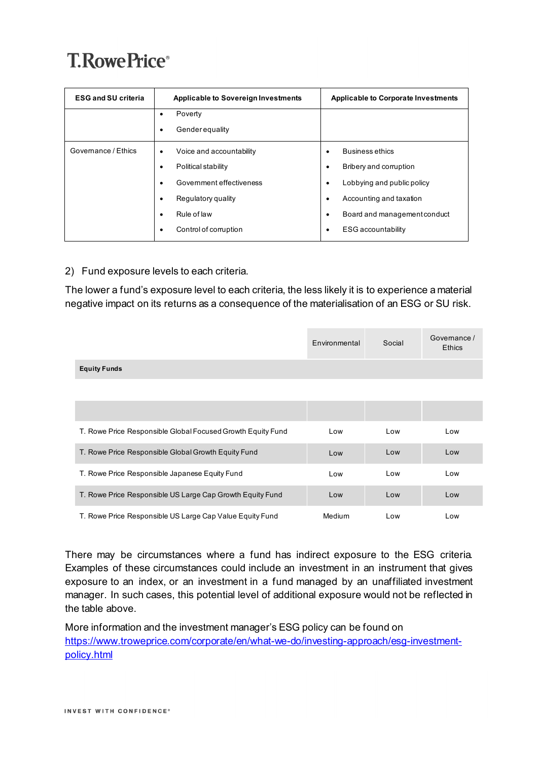| <b>ESG and SU criteria</b> | <b>Applicable to Sovereign Investments</b>                                                                                                                              | <b>Applicable to Corporate Investments</b>                                                                                                                                                                                           |  |  |
|----------------------------|-------------------------------------------------------------------------------------------------------------------------------------------------------------------------|--------------------------------------------------------------------------------------------------------------------------------------------------------------------------------------------------------------------------------------|--|--|
|                            | Poverty<br>٠<br><b>Gender equality</b><br>٠                                                                                                                             |                                                                                                                                                                                                                                      |  |  |
| Governance / Ethics        | Voice and accountability<br>٠<br>Political stability<br>٠<br>Government effectiveness<br>٠<br>Regulatory quality<br>٠<br>Rule of law<br>٠<br>Control of corruption<br>٠ | <b>Business ethics</b><br>$\bullet$<br>Bribery and corruption<br>$\bullet$<br>Lobbying and public policy<br>$\bullet$<br>Accounting and taxation<br>٠<br>Board and management conduct<br>$\bullet$<br><b>ESG</b> accountability<br>٠ |  |  |

#### 2) Fund exposure levels to each criteria.

The lower a fund's exposure level to each criteria, the less likely it is to experience a material negative impact on its returns as a consequence of the materialisation of an ESG or SU risk.

|                                                             | Environmental | Social | Governance /<br><b>Ethics</b> |
|-------------------------------------------------------------|---------------|--------|-------------------------------|
| <b>Equity Funds</b>                                         |               |        |                               |
|                                                             |               |        |                               |
|                                                             |               |        |                               |
| T. Rowe Price Responsible Global Focused Growth Equity Fund | Low           | Low    | Low                           |
| T. Rowe Price Responsible Global Growth Equity Fund         | Low           | Low    | Low                           |
| T. Rowe Price Responsible Japanese Equity Fund              | Low           | Low    | Low                           |
| T. Rowe Price Responsible US Large Cap Growth Equity Fund   | Low           | Low    | Low                           |
| T. Rowe Price Responsible US Large Cap Value Equity Fund    | Medium        | Low    | Low                           |

There may be circumstances where a fund has indirect exposure to the ESG criteria. Examples of these circumstances could include an investment in an instrument that gives exposure to an index, or an investment in a fund managed by an unaffiliated investment manager. In such cases, this potential level of additional exposure would not be reflected in the table above.

More information and the investment manager's ESG policy can be found on [https://www.troweprice.com/corporate/en/what-we-do/investing-approach/esg-investment](https://www.troweprice.com/corporate/en/what-we-do/investing-approach/esg-investment-policy.html)[policy.html](https://www.troweprice.com/corporate/en/what-we-do/investing-approach/esg-investment-policy.html)